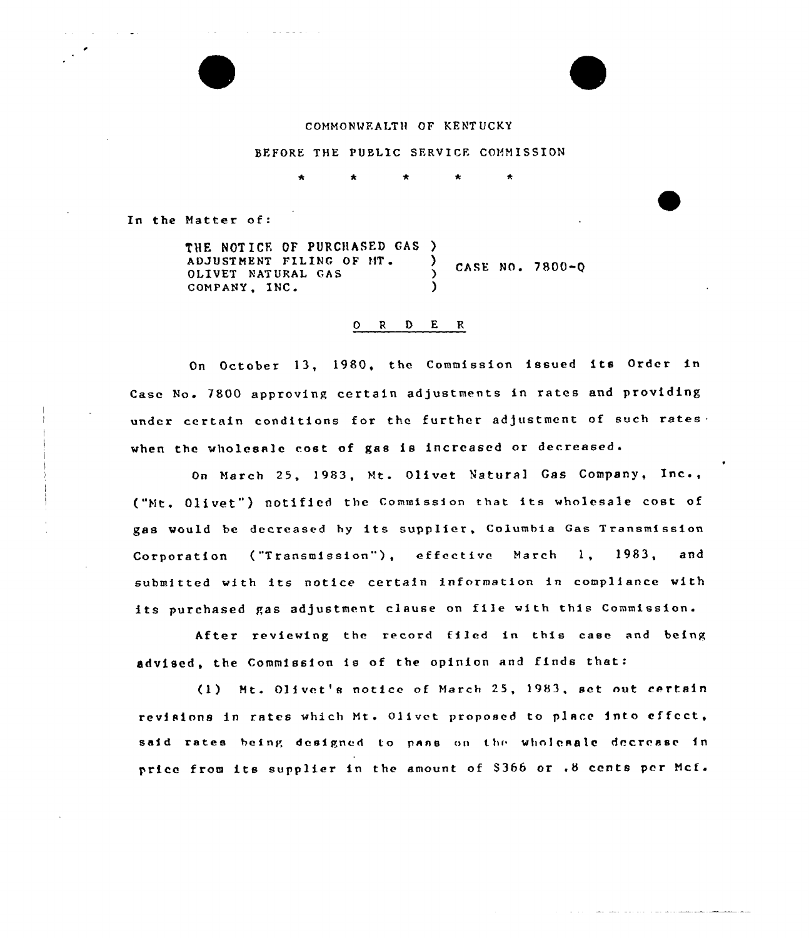## COMMONWFALTH OF KENT UCKY

## BEFORE THE PUBLIC SERVICE COMMISSION

and the state of the state of

In the Matter of:

THE NOTICE OF PURCHASED GAS )<br>ADJUSTMENT FILING OF MT. ADJUSTMENT FILING OF MT. CASE NO. 7800-Q OLIVET NATURAL GAS () COMPANY, INC. )

## 0 <sup>R</sup> 0 E <sup>R</sup>

On October 13, 1980, the Commission issued its Order in Case No. 7800 approving certain adjustments in rates and providing under certain conditions for the further adjustment of such rates. when the wholesale cost of gas is increased or decreased.

On March 25, 1983, Mt. Olivet Natural Gas Company, Inc., ("Mt, Olivet") notified the Commission that its wholesale cost of gas would be decreased hy its supplier, Columbia Gas Transmission Corporation ("Transmission"), effective March 1, 1983, and submitted with its notice certain information in compliance with its purchased gas adjustment clause on file with this Commission.

After reviewing the record filed in this ease and being advised, the Commission is of the opinion and finds that:

(1) Mt. 01ivet's notice of March 25, 1983, set out certain revisions in rates which Mt. Olivet proposed to place into effect, said rates being designed to pans on thr wholesale decrease in price from its supplier in the amount of <sup>8366</sup> or .8 cents per Mcf.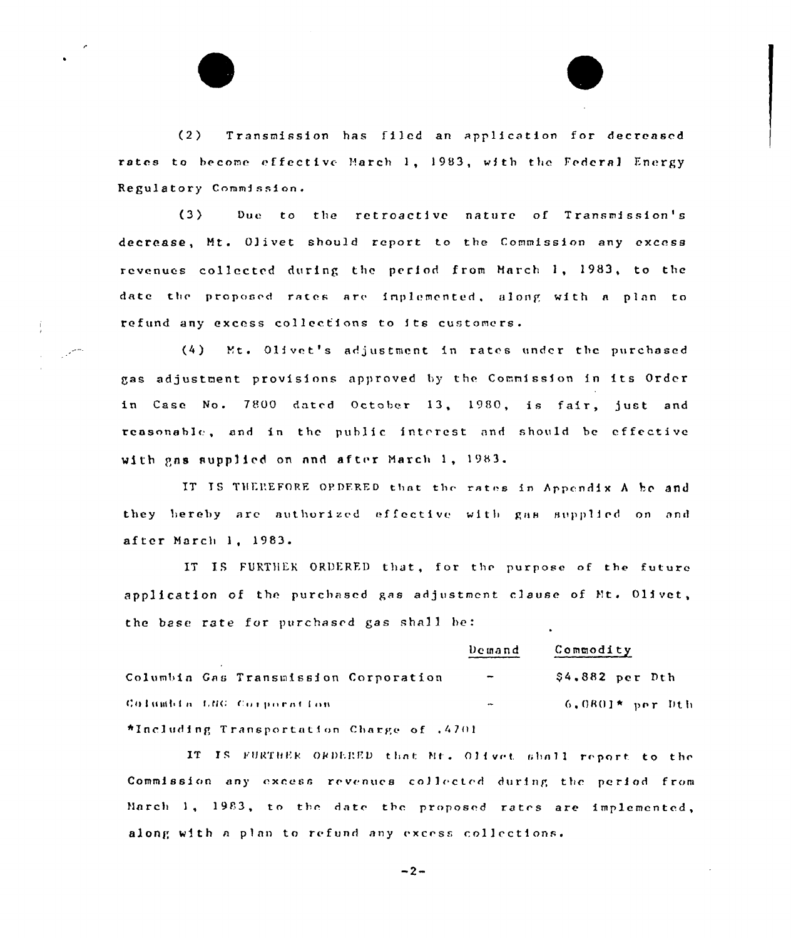$(2)$ Transmission has filed an application for decreased rates to become effective March 1, 1983, with the Federal Energy Regulatory Commission.

Due to the retroactive nature of Transmission's  $(3)$ decrease, Mt. Olivet should report to the Commission any excess revenues collected during the period from March 1, 1983, to the date the proposed rates are implemented, along with a plan to refund any excess collections to its customers.

÷

 $(4)$ Mt. Olivet's adjustment in rates under the purchased gas adjustment provisions approved by the Commission in its Order in Case No. 7800 dated October 13, 1980, is fair, just and reasonable, and in the public interest and should be effective with gas supplied on and after March 1, 1983.

IT IS THEREFORE OPDERED that the rates in Appendix A be and they bereby are authorized effective with gas supplied on and after March 1, 1983.

IT IS FURTHER ORDERED that, for the purpose of the future application of the purchased gas adjustment clause of Mt. Olivet, the base rate for purchased gas shall be:

|                                           | Demand                   | Commodity          |
|-------------------------------------------|--------------------------|--------------------|
| Columbia Gas Transmission Corporation     | $\overline{\phantom{m}}$ | $$4.882$ per Dth   |
| Columbia LNG Corporation                  | $\overline{\phantom{a}}$ | $-6,0801*$ per Dth |
| *Including Transportation Charge of .4701 |                          |                    |

IT IS FURTHER ORDERED that Mr. Olivet shall report to the Commission any excess revenues collected during the period from March 1, 1983, to the date the proposed rates are implemented, along with a plan to refund any excess collections.

 $-2-$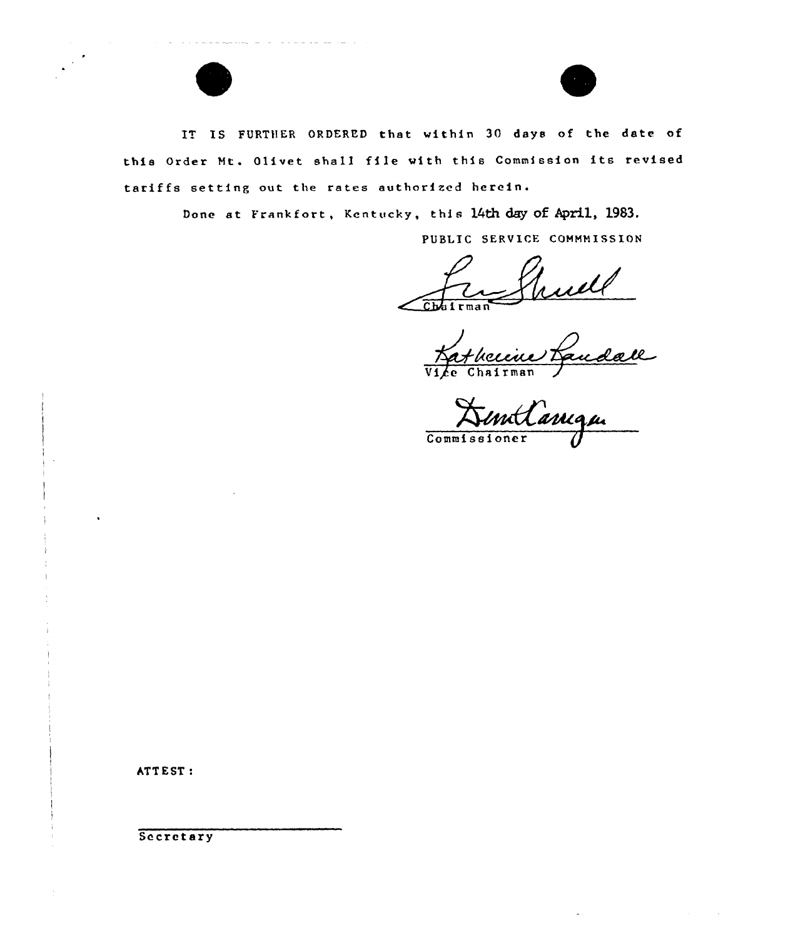



IT IS FURTHER ORDERED that within 30 days of the date of this Order Mt. Olivet shall file with this Commission its revised tariffs setting out the rates authorized herein.

Done at Frankfort, Kentucky, this 14th day of April, 1983.

PUBLIC SERVICE COMMMISSION

Chairman

Tre Shuell

Commissioner

ATTEST:

Secretary